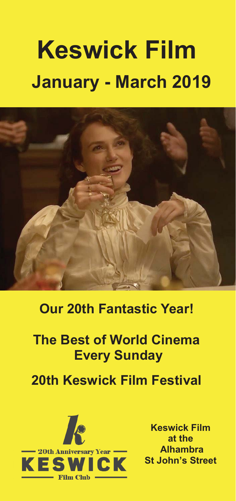# **Keswick Film January - March 2019**



# **Our 20th Fantastic Year!**

# **The Best of World Cinema Every Sunday**

# **20th Keswick Film Festival**



**Keswick Film at the Keswick Film at the Alhambra St John's Street St John's Street**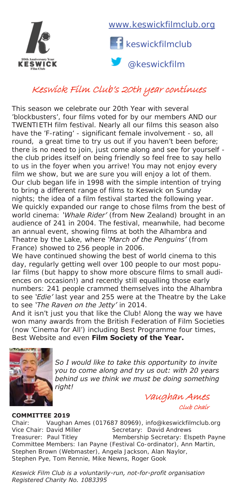



@keswickfilm

## Keswick Film Club's 20th year continues

This season we celebrate our 20th Year with several 'blockbusters', four films voted for by our members AND our TWENTIETH film festival. Nearly all our films this season also have the 'F-rating' - significant female involvement - so, all round, a great time to try us out if you haven't been before; there is no need to join, just come along and see for yourself the club prides itself on being friendly so feel free to say hello to us in the foyer when you arrive! You may not enjoy every film we show, but we are sure you will enjoy a lot of them. Our club began life in 1998 with the simple intention of trying to bring a different range of films to Keswick on Sunday nights; the idea of a film festival started the following year. We quickly expanded our range to chose films from the best of world cinema: *'Whale Rider'* (from New Zealand) brought in an audience of 241 in 2004. The festival, meanwhile, had become an annual event, showing films at both the Alhambra and Theatre by the Lake, where *'March of the Penguins'* (from France) showed to 256 people in 2006.

We have continued showing the best of world cinema to this day, regularly getting well over 100 people to our most popular films (but happy to show more obscure films to small audiences on occasion!) and recently still equalling those early numbers: 241 people crammed themselves into the Alhambra to see *'Edie'* last year and 255 were at the Theatre by the Lake to see *'The Raven on the Jetty'* in 2014.

And it isn't just you that like the Club! Along the way we have won many awards from the British Federation of Film Societies (now 'Cinema for All') including Best Programme four times, Best Website and even **Film Society of the Year.** 



*So I would like to take this opportunity to invite you to come along and try us out: with 20 years behind us we think we must be doing something right!*

> Vaughan Ames Club Chair

### **COMMITTEE 2019**

Chair: Vaughan Ames (017687 80969), info@keswickfilmclub.org<br>Vice Chair: David Miller Secretary: David Andrews Secretary: David Andrews Treasurer: Paul Titley Membership Secretary: Elspeth Payne Committee Members: Ian Payne (Festival Co-ordinator), Ann Martin, Stephen Brown (Webmaster), Angela Jackson, Alan Naylor, Stephen Pye, Tom Rennie, Mike Newns, Roger Gook

*Keswick Film Club is a voluntarily-run, not-for-profit organisation Registered Charity No. 1083395*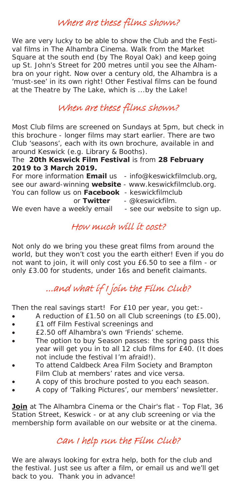## Where are these films shown?

We are very lucky to be able to show the Club and the Festival films in The Alhambra Cinema. Walk from the Market Square at the south end (by The Royal Oak) and keep going up St. John's Street for 200 metres until you see the Alhambra on your right. Now over a century old, the Alhambra is a 'must-see' in its own right! Other Festival films can be found at the Theatre by The Lake, which is ...by the Lake!

## When are these films shown?

Most Club films are screened on Sundays at 5pm, but check in this brochure - longer films may start earlier. There are two Club 'seasons', each with its own brochure, available in and around Keswick (e.g. Library & Booths).

### The **20th Keswick Film Festival** is from **28 February 2019 to 3 March 2019.**

For more information **Email** us - info@keswickfilmclub.org,

- 
- 
- see our award-winning **website**  www.keswickfilmclub.org.
- You can follow us on **Facebook** keswickfilmclub
	- or **Twitter**  @keswickfilm.
- We even have a weekly email see our website to sign up.
	-

## How much will it cost?

Not only do we bring you these great films from around the world, but they won't cost you the earth either! Even if you do not want to join, it will only cost you £6.50 to see a film - or only £3.00 for students, under 16s and benefit claimants.

# ...and what if I join the Film Club?

Then the real savings start! For £10 per year, you get:-

- A reduction of £1.50 on all Club screenings (to £5.00),
- **•** E1 off Film Festival screenings and
- **E2.50 off Alhambra's own 'Friends' scheme.**
- The option to buy Season passes: the spring pass this year will get you in to all 12 club films for £40. (It does not include the festival I'm afraid!).
- To attend Caldbeck Area Film Society and Brampton Film Club at members' rates and vice versa.
- A copy of this brochure posted to you each season.
- x A copy of 'Talking Pictures', our members' newsletter.

**Join** at The Alhambra Cinema or the Chair's flat - Top Flat, 36 Station Street, Keswick - or at any club screening or via the membership form available on our website or at the cinema.

## Can I help run the Film Club?

We are always looking for extra help, both for the club and the festival. Just see us after a film, or email us and we'll get back to you. Thank you in advance!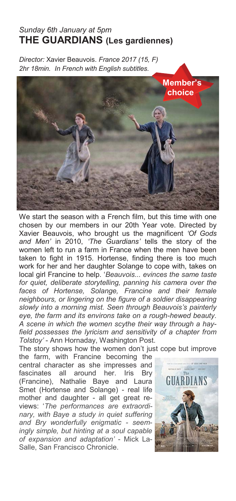### *Sunday 6th January at 5pm*  **THE GUARDIANS (Les gardiennes)**

*Director:* Xavier Beauvois. *France 2017 (15, F) 2hr 18min. In French with English subtitles.*



We start the season with a French film, but this time with one chosen by our members in our 20th Year vote. Directed by Xavier Beauvois, who brought us the magnificent *'Of Gods and Men'* in 2010, *'The Guardians'* tells the story of the women left to run a farm in France when the men have been taken to fight in 1915. Hortense, finding there is too much work for her and her daughter Solange to cope with, takes on local girl Francine to help. '*Beauvois... evinces the same taste for quiet, deliberate storytelling, panning his camera over the faces of Hortense, Solange, Francine and their female neighbours, or lingering on the figure of a soldier disappearing slowly into a morning mist. Seen through Beauvois's painterly eye, the farm and its environs take on a rough-hewed beauty. A scene in which the women scythe their way through a hayfield possesses the lyricism and sensitivity of a chapter from Tolstoy'* - Ann Hornaday, Washington Post.

The story shows how the women don't just cope but improve

the farm, with Francine becoming the central character as she impresses and fascinates all around her. Iris Bry (Francine), Nathalie Baye and Laura Smet (Hortense and Solange) - real life mother and daughter - all get great reviews: '*The performances are extraordinary, with Baye a study in quiet suffering and Bry wonderfully enigmatic - seemingly simple, but hinting at a soul capable of expansion and adaptation'* - Mick La-Salle, San Francisco Chronicle.

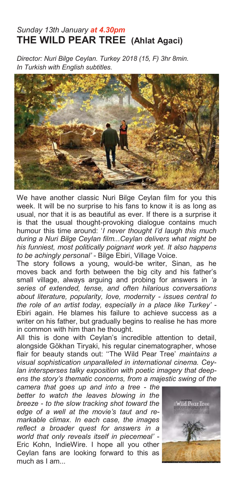### *Sunday 13th January at 4.30pm*  **THE WILD PEAR TREE (Ahlat Agaci)**

*Director: Nuri Bilge Ceylan. Turkey 2018 (15, F) 3hr 8min. In Turkish with English subtitles.* 



We have another classic Nuri Bilge Ceylan film for you this week. It will be no surprise to his fans to know it is as long as usual, nor that it is as beautiful as ever. If there is a surprise it is that the usual thought-provoking dialogue contains much humour this time around: '*I never thought I'd laugh this much during a Nuri Bilge Ceylan film...Ceylan delivers what might be his funniest, most politically poignant work yet. It also happens to be achingly personal'* - Bilge Ebiri, Village Voice.

The story follows a young, would-be writer, Sinan, as he moves back and forth between the big city and his father's small village, always arguing and probing for answers in *'a series of extended, tense, and often hilarious conversations about literature, popularity, love, modernity - issues central to the role of an artist today, especially in a place like Turkey'* - Ebiri again. He blames his failure to achieve success as a writer on his father, but gradually begins to realise he has more in common with him than he thought.

All this is done with Ceylan's incredible attention to detail, alongside Gökhan Tiryaki, his regular cinematographer, whose flair for beauty stands out: ''The Wild Pear Tree' *maintains a visual sophistication unparalleled in international cinema. Ceylan intersperses talky exposition with poetic imagery that deepens the story's thematic concerns, from a majestic swing of the* 

*camera that goes up and into a tree - the better to watch the leaves blowing in the breeze - to the slow tracking shot toward the edge of a well at the movie's taut and remarkable climax. In each case, the images reflect a broader quest for answers in a world that only reveals itself in piecemeal'* - Eric Kohn, IndieWire. I hope all you other Ceylan fans are looking forward to this as much as I am...

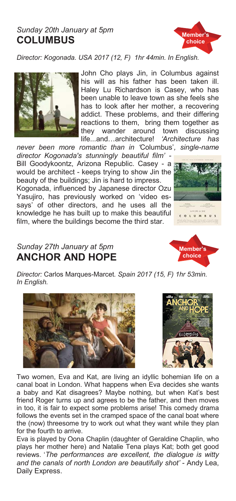### *Sunday 20th January at 5pm*  **COLUMBUS**



*Director: Kogonada. USA 2017 (12, F) 1hr 44min. In English.* 



John Cho plays Jin, in Columbus against his will as his father has been taken ill. Haley Lu Richardson is Casey, who has been unable to leave town as she feels she has to look after her mother, a recovering addict. These problems, and their differing reactions to them, bring them together as they wander around town discussing life...and…architecture! *'Architecture has* 

*never been more romantic than in '*Columbus'*, single-name director Kogonada's stunningly beautiful film' -* 

Bill Goodykoontz, Arizona Republic. Casey - a would be architect - keeps trying to show Jin the beauty of the buildings; Jin is hard to impress. Kogonada, influenced by Japanese director Ozu Yasujiro, has previously worked on 'video essays' of other directors, and he uses all the knowledge he has built up to make this beautiful film, where the buildings become the third star.

### *Sunday 27th January at 5pm*  **ANCHOR AND HOPE**

*Director:* Carlos Marques-Marcet*. Spain 2017 (15, F) 1hr 53min. In English.* 





Two women, Eva and Kat, are living an idyllic bohemian life on a canal boat in London. What happens when Eva decides she wants a baby and Kat disagrees? Maybe nothing, but when Kat's best friend Roger turns up and agrees to be the father, and then moves in too, it is fair to expect some problems arise! This comedy drama follows the events set in the cramped space of the canal boat where the (now) threesome try to work out what they want while they plan for the fourth to arrive.

Eva is played by Oona Chaplin (daughter of Geraldine Chaplin, who plays her mother here) and Natalie Tena plays Kat; both get good reviews. '*The performances are excellent, the dialogue is witty and the canals of north London are beautifully shot'* - Andy Lea, Daily Express.



**Member's choice**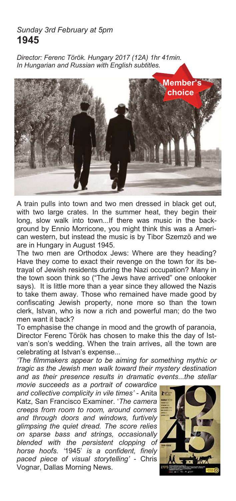### *Sunday 3rd February at 5pm*  **1945**

*Director: Ferenc Török. Hungary 2017 (12A) 1hr 41min. In Hungarian and Russian with English subtitles.* 



A train pulls into town and two men dressed in black get out, with two large crates. In the summer heat, they begin their long, slow walk into town...If there was music in the background by Ennio Morricone, you might think this was a American western, but instead the music is by Tibor Szemzö and we are in Hungary in August 1945.

The two men are Orthodox Jews: Where are they heading? Have they come to exact their revenge on the town for its betrayal of Jewish residents during the Nazi occupation? Many in the town soon think so ("The Jews have arrived" one onlooker says). It is little more than a year since they allowed the Nazis to take them away. Those who remained have made good by confiscating Jewish property, none more so than the town clerk, Istvan, who is now a rich and powerful man; do the two men want it back?

To emphasise the change in mood and the growth of paranoia, Director Ferenc Török has chosen to make this the day of Istvan's son's wedding. When the train arrives, all the town are celebrating at Istvan's expense...

*'The filmmakers appear to be aiming for something mythic or tragic as the Jewish men walk toward their mystery destination and as their presence results in dramatic events...the stellar* 

*movie succeeds as a portrait of cowardice and collective complicity in vile times'* - Anita Katz, San Francisco Examiner. '*The camera creeps from room to room, around corners and through doors and windows, furtively glimpsing the quiet dread. The score relies on sparse bass and strings, occasionally blended with the persistent clopping of horse hoofs. '*1945' *is a confident, finely paced piece of visual storytelling'* - Chris Vognar, Dallas Morning News.

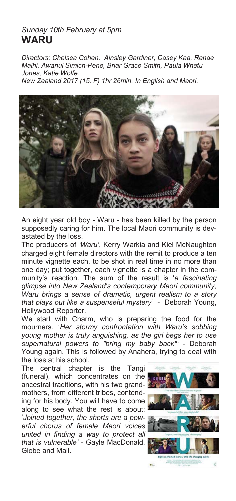### *Sunday 10th February at 5pm*  **WARU**

*Directors: Chelsea Cohen, Ainsley Gardiner, Casey Kaa, Renae Maihi, Awanui Simich-Pene, Briar Grace Smith, Paula Whetu Jones, Katie Wolfe.* 

*New Zealand 2017 (15, F) 1hr 26min. In English and Maori.* 



An eight year old boy - Waru - has been killed by the person supposedly caring for him. The local Maori community is devastated by the loss.

The producers of *'Waru'*, Kerry Warkia and Kiel McNaughton charged eight female directors with the remit to produce a ten minute vignette each, to be shot in real time in no more than one day; put together, each vignette is a chapter in the community's reaction. The sum of the result is '*a fascinating glimpse into New Zealand's contemporary Maori community, Waru brings a sense of dramatic, urgent realism to a story that plays out like a suspenseful mystery'* - Deborah Young, Hollywood Reporter.

We start with Charm, who is preparing the food for the mourners. '*Her stormy confrontation with Waru's sobbing young mother is truly anguishing, as the girl begs her to use supernatural powers to "bring my baby back"' -* Deborah Young again. This is followed by Anahera, trying to deal with the loss at his school.

The central chapter is the Tangi (funeral), which concentrates on the ancestral traditions, with his two grandmothers, from different tribes, contending for his body. You will have to come along to see what the rest is about; '*Joined together, the shorts are a powerful chorus of female Maori voices united in finding a way to protect all that is vulnerable'* - Gayle MacDonald, Globe and Mail.

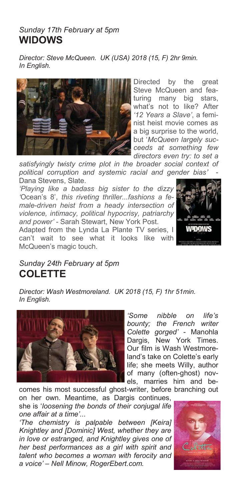### *Sunday 17th February at 5pm*  **WIDOWS**

*Director: Steve McQueen. UK (USA) 2018 (15, F) 2hr 9min. In English.* 



Directed by the great Steve McQueen and featuring many big stars, what's not to like? After *'12 Years a Slave'*, a feminist heist movie comes as a big surprise to the world, but '*McQueen largely succeeds at something few directors even try: to set a* 

*satisfyingly twisty crime plot in the broader social context of political corruption and systemic racial and gender bias'* - Dana Stevens, Slate.

*'Playing like a badass big sister to the dizzy '*Ocean's 8', *this riveting thriller...fashions a female-driven heist from a heady intersection of violence, intimacy, political hypocrisy, patriarchy and power' -* Sarah Stewart, New York Post.

Adapted from the Lynda La Plante TV series, I can't wait to see what it looks like with McQueen's magic touch.



### *Sunday 24th February at 5pm*  **COLETTE**

*Director: Wash Westmoreland. UK 2018 (15, F) 1hr 51min. In English.* 



*'Some nibble on life's bounty; the French writer Colette gorged'* - Manohla Dargis, New York Times. Our film is Wash Westmoreland's take on Colette's early life; she meets Willy, author of many (often-ghost) novels, marries him and be-

comes his most successful ghost-writer, before branching out on her own. Meantime, as Dargis continues, she is '*loosening the bonds of their conjugal life one affair at a time'*...

*'The chemistry is palpable between [Keira] Knightley and [Dominic] West, whether they are in love or estranged, and Knightley gives one of her best performances as a girl with spirit and talent who becomes a woman with ferocity and a voice' – Nell Minow, RogerEbert.com.* 

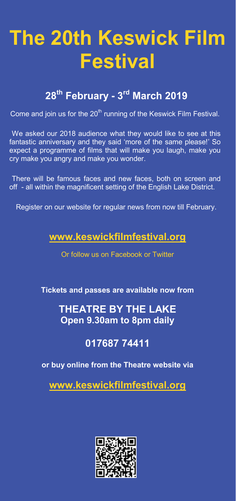# **The 20th Keswick Film Festival**

# **<sup>28</sup>th February - 3rd March 2019**

Come and join us for the 20<sup>th</sup> running of the Keswick Film Festival.

We asked our 2018 audience what they would like to see at this fantastic anniversary and they said 'more of the same please!' So expect a programme of films that will make you laugh, make you cry make you angry and make you wonder.

There will be famous faces and new faces, both on screen and off - all within the magnificent setting of the English Lake District.

Register on our website for regular news from now till February.

## **www.keswickfilmfestival.org**

Or follow us on Facebook or Twitter

**Tickets and passes are available now from** 

## **THEATRE BY THE LAKE Open 9.30am to 8pm daily**

## **017687 74411**

### **or buy online from the Theatre website via**

**www.keswickfilmfestival.org**

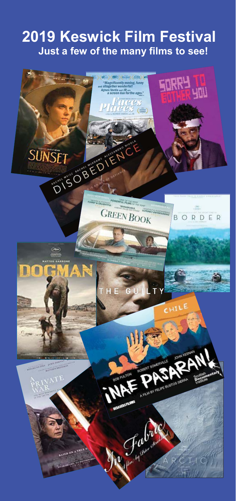# **2019 Keswick Film Festival Just a few of the many films to see!**

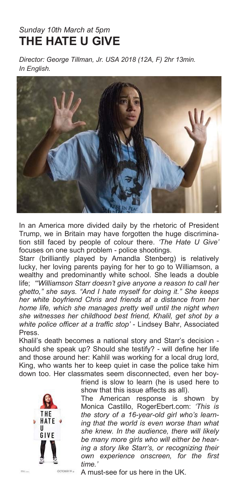## *Sunday 10th March at 5pm*  **THE HATE U GIVE**

*Director: George Tillman, Jr. USA 2018 (12A, F) 2hr 13min. In English.* 



In an America more divided daily by the rhetoric of President Trump, we in Britain may have forgotten the huge discrimination still faced by people of colour there. *'The Hate U Give'*  focuses on one such problem - police shootings.

Starr (brilliantly played by Amandla Stenberg) is relatively lucky, her loving parents paying for her to go to Williamson, a wealthy and predominantly white school. She leads a double life; *'"Williamson Starr doesn't give anyone a reason to call her ghetto," she says. "And I hate myself for doing it." She keeps her white boyfriend Chris and friends at a distance from her home life, which she manages pretty well until the night when she witnesses her childhood best friend, Khalil, get shot by a white police officer at a traffic stop'* - Lindsey Bahr, Associated Press.

Khalil's death becomes a national story and Starr's decision should she speak up? Should she testify? - will define her life and those around her: Kahlil was working for a local drug lord, King, who wants her to keep quiet in case the police take him down too. Her classmates seem disconnected, even her boy-



friend is slow to learn (he is used here to show that this issue affects as all).

The American response is shown by Monica Castillo, RogerEbert.com: *'This is the story of a 16-year-old girl who's learning that the world is even worse than what she knew. In the audience, there will likely be many more girls who will either be hearing a story like Starr's, or recognizing their own experience onscreen, for the first time.'* 

A must-see for us here in the UK.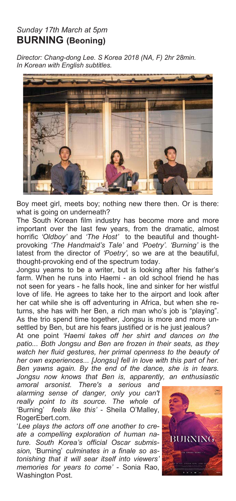### *Sunday 17th March at 5pm*  **BURNING (Beoning)**

*Director: Chang-dong Lee. S Korea 2018 (NA, F) 2hr 28min. In Korean with English subtitles.* 



Boy meet girl, meets boy; nothing new there then. Or is there: what is going on underneath?

The South Korean film industry has become more and more important over the last few years, from the dramatic, almost horrific *'Oldboy'* and *'The Host'* to the beautiful and thoughtprovoking *'The Handmaid's Tale'* and *'Poetry'. 'Burning'* is the latest from the director of *'Poetry',* so we are at the beautiful, thought-provoking end of the spectrum today.

Jongsu yearns to be a writer, but is looking after his father's farm. When he runs into Haemi - an old school friend he has not seen for years - he falls hook, line and sinker for her wistful love of life. He agrees to take her to the airport and look after her cat while she is off adventuring in Africa, but when she returns, she has with her Ben, a rich man who's job is "playing". As the trio spend time together, Jongsu is more and more unsettled by Ben, but are his fears justified or is he just jealous?

At one point *'Haemi takes off her shirt and dances on the patio... Both Jongsu and Ben are frozen in their seats, as they watch her fluid gestures, her primal openness to the beauty of her own experiences... [Jongsu] fell in love with this part of her. Ben yawns again. By the end of the dance, she is in tears. Jongsu now knows that Ben is, apparently, an enthusiastic* 

*amoral arsonist. There's a serious and alarming sense of danger, only you can't really point to its source. The whole of*  'Burning' *feels like this'* - Sheila O'Malley, RogerEbert.com.

'*Lee plays the actors off one another to create a compelling exploration of human nature. South Korea's official Oscar submission,* 'Burning' *culminates in a finale so astonishing that it will sear itself into viewers' memories for years to come'* - Sonia Rao, Washington Post.

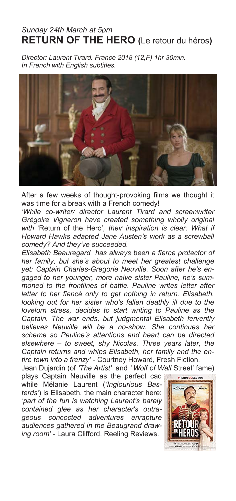### *Sunday 24th March at 5pm*  **RETURN OF THE HERO (**Le retour du héros**)**

*Director: Laurent Tirard. France 2018 (12,F) 1hr 30min. In French with English subtitles.* 



After a few weeks of thought-provoking films we thought it was time for a break with a French comedy!

*'While co-writer/ director Laurent Tirard and screenwriter Grégoire Vigneron have created something wholly original with* 'Return of the Hero'*, their inspiration is clear: What if Howard Hawks adapted Jane Austen's work as a screwball comedy? And they've succeeded.*

*Elisabeth Beauregard has always been a fierce protector of her family, but she's about to meet her greatest challenge yet: Captain Charles-Gregorie Neuville. Soon after he's engaged to her younger, more naive sister Pauline, he's summoned to the frontlines of battle. Pauline writes letter after letter to her fiancé only to get nothing in return. Elisabeth, looking out for her sister who's fallen deathly ill due to the lovelorn stress, decides to start writing to Pauline as the Captain. The war ends, but judgmental Elisabeth fervently believes Neuville will be a no-show. She continues her scheme so Pauline's attentions and heart can be directed elsewhere – to sweet, shy Nicolas. Three years later, the Captain returns and whips Elisabeth, her family and the entire town into a frenzy'* - Courtney Howard, Fresh Fiction.

Jean Dujardin (of *'The Artist'* and *' Wolf of Wall* Street' fame)

plays Captain Neuville as the perfect cad while Mélanie Laurent (*'Inglourious Basterds'*) is Elisabeth, the main character here: '*part of the fun is watching Laurent's barely contained glee as her character's outrageous concocted adventures enrapture audiences gathered in the Beaugrand drawing room'* - Laura Clifford, Reeling Reviews.

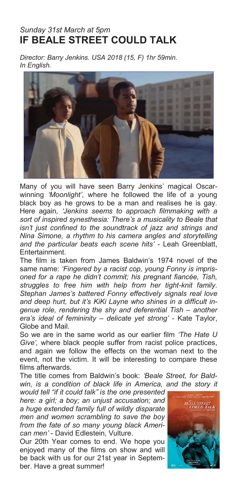### *Sunday 31st March at 5pm*  **IF BEALE STREET COULD TALK**

*Director: Barry Jenkins. USA 2018 (15, F) 1hr 59min. In English.* 



Many of you will have seen Barry Jenkins' magical Oscarwinning *'Moonlight'*, where he followed the life of a young black boy as he grows to be a man and realises he is gay. Here again*, 'Jenkins seems to approach filmmaking with a sort of inspired synesthesia: There's a musicality to Beale that isn't just confined to the soundtrack of jazz and strings and Nina Simone, a rhythm to his camera angles and storytelling and the particular beats each scene hits'* - Leah Greenblatt, **Entertainment** 

The film is taken from James Baldwin's 1974 novel of the same name: *'Fingered by a racist cop, young Fonny is imprisoned for a rape he didn't commit; his pregnant fiancée, Tish, struggles to free him with help from her tight-knit family. Stephan James's battered Fonny effectively signals real love and deep hurt, but it's KiKi Layne who shines in a difficult ingenue role, rendering the shy and deferential Tish – another era's ideal of femininity – delicate yet strong'* - Kate Taylor, Globe and Mail.

So we are in the same world as our earlier film *'The Hate U Give',* where black people suffer from racist police practices, and again we follow the effects on the woman next to the event, not the victim. It will be interesting to compare these films afterwards.

The title comes from Baldwin's book: *'Beale Street, for Bald*win, is a condition of black life in America, and the story it

*would tell "if it could talk" is the one presented here: a girl; a boy; an unjust accusation; and a huge extended family full of wildly disparate men and women scrambling to save the boy from the fate of so many young black American men'* - David Edlestein, Vulture.

Our 20th Year comes to end. We hope you enjoyed many of the films on show and will be back with us for our 21st year in September. Have a great summer!